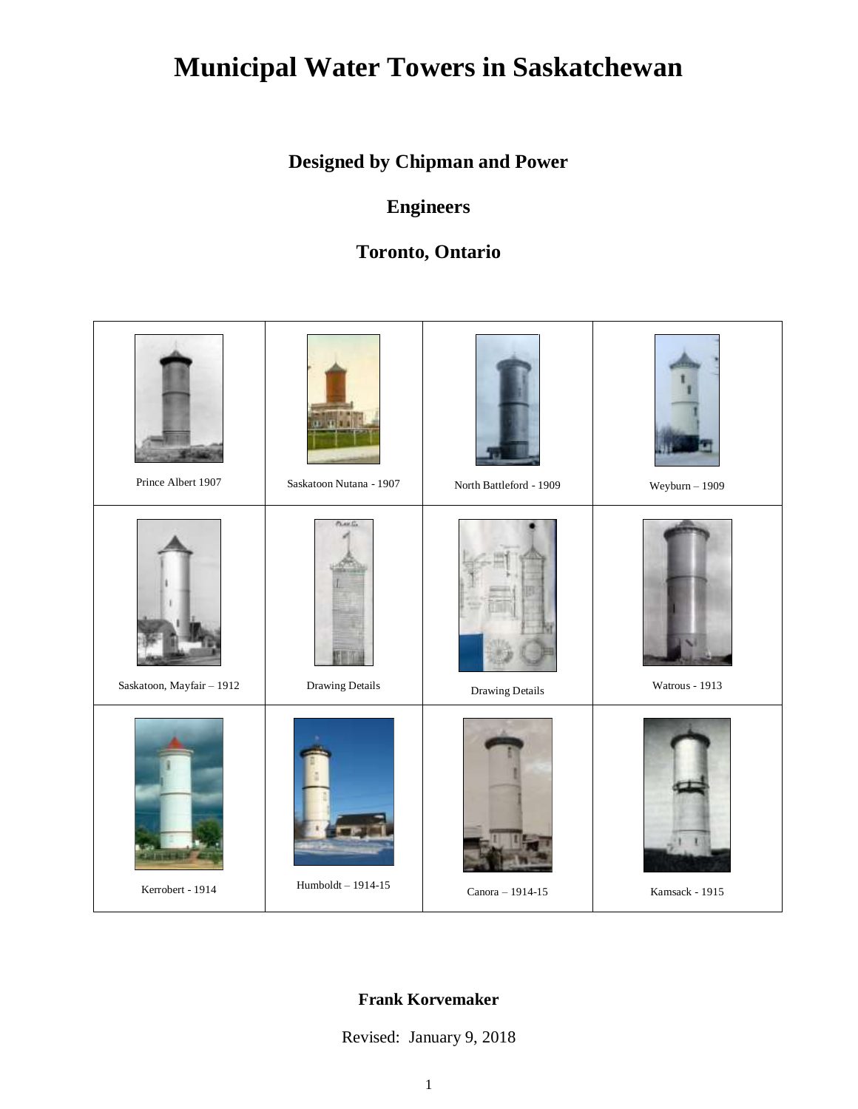# **Municipal Water Towers in Saskatchewan**

## **Designed by Chipman and Power**

### **Engineers**

### **Toronto, Ontario**



#### **Frank Korvemaker**

Revised: January 9, 2018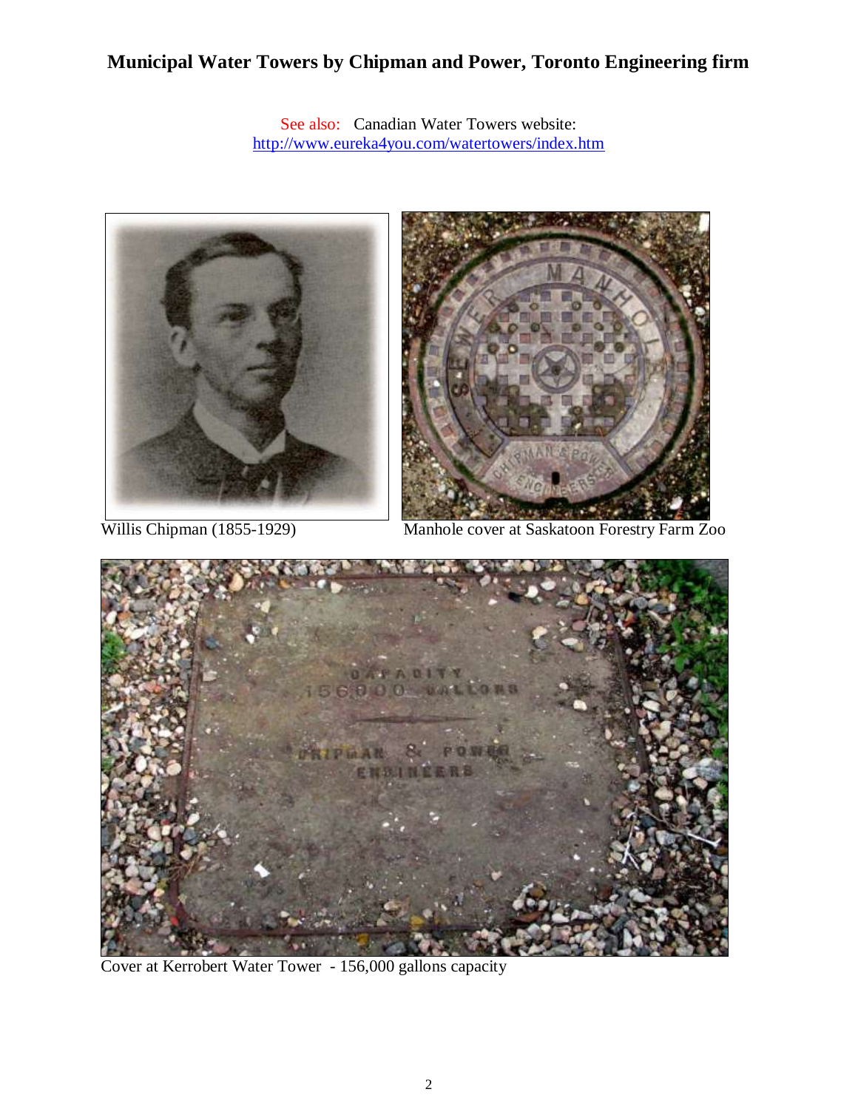#### **Municipal Water Towers by Chipman and Power, Toronto Engineering firm**

See also: Canadian Water Towers website: <http://www.eureka4you.com/watertowers/index.htm>



Willis Chipman (1855-1929) Manhole cover at Saskatoon Forestry Farm Zoo



Cover at Kerrobert Water Tower - 156,000 gallons capacity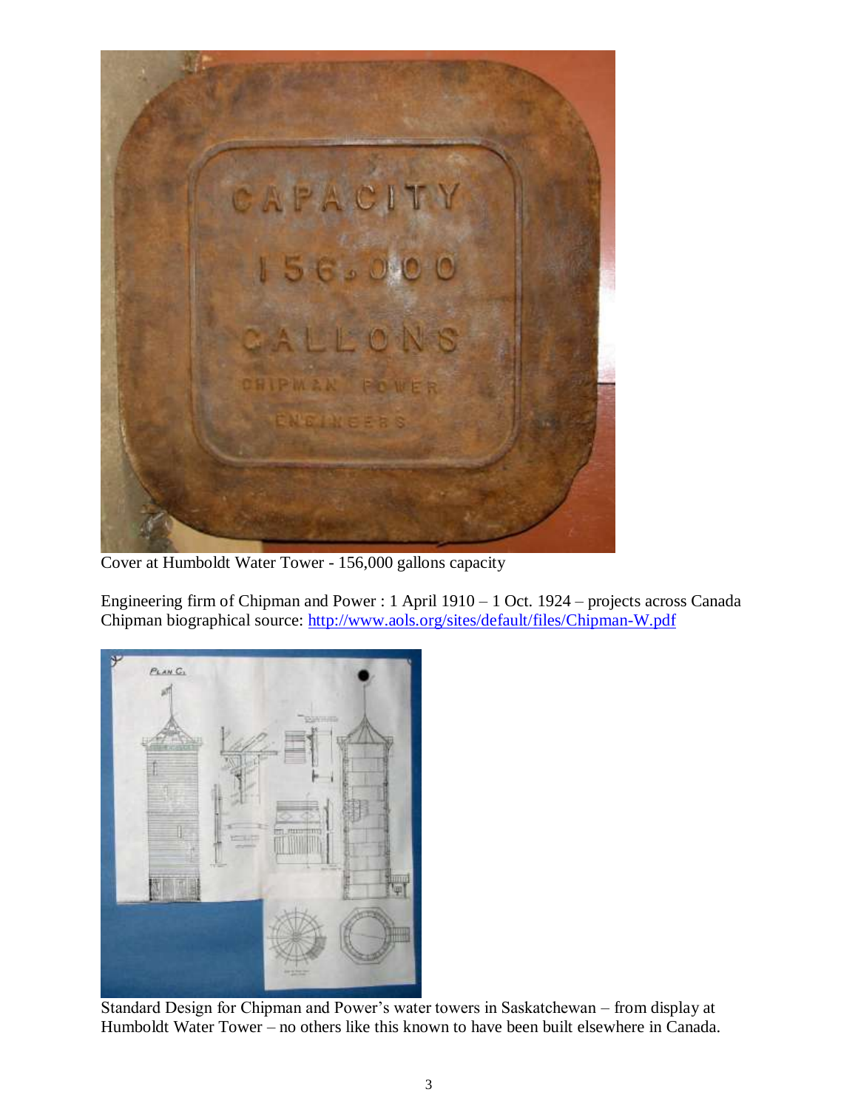

Cover at Humboldt Water Tower - 156,000 gallons capacity

Engineering firm of Chipman and Power : 1 April 1910 – 1 Oct. 1924 – projects across Canada Chipman biographical source:<http://www.aols.org/sites/default/files/Chipman-W.pdf>



Standard Design for Chipman and Power's water towers in Saskatchewan – from display at Humboldt Water Tower – no others like this known to have been built elsewhere in Canada.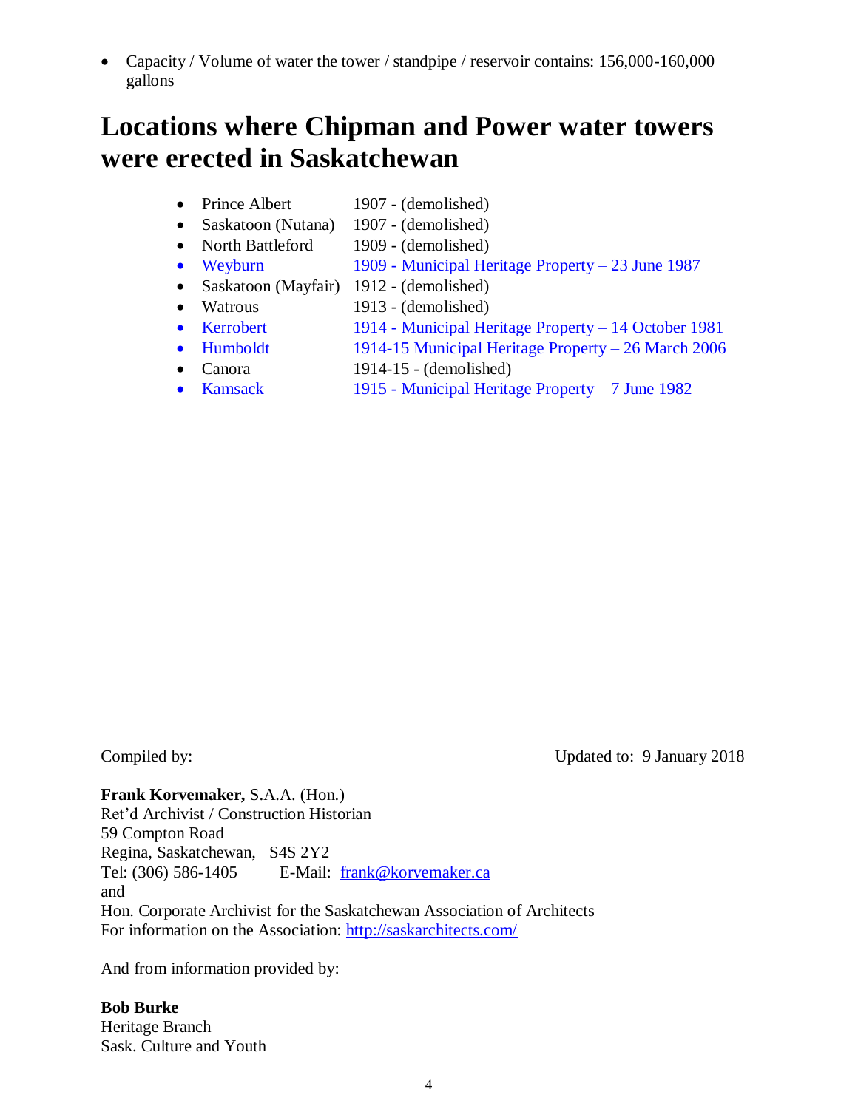Capacity / Volume of water the tower / standpipe / reservoir contains: 156,000-160,000 gallons

## **Locations where Chipman and Power water towers were erected in Saskatchewan**

- Prince Albert 1907 (demolished)
- Saskatoon (Nutana) 1907 (demolished)
- North Battleford 1909 (demolished)
- Weyburn 1909 Municipal Heritage Property 23 June 1987
- Saskatoon (Mayfair) 1912 (demolished)
- Watrous 1913 (demolished)
- Kerrobert 1914 Municipal Heritage Property 14 October 1981
- Humboldt 1914-15 Municipal Heritage Property 26 March 2006
- Canora 1914-15 (demolished)
- Kamsack 1915 Municipal Heritage Property 7 June 1982

Compiled by: Updated to: 9 January 2018

**Frank Korvemaker,** S.A.A. (Hon.) Ret'd Archivist / Construction Historian 59 Compton Road Regina, Saskatchewan, S4S 2Y2 Tel: (306) 586-1405 E-Mail: [frank@korvemaker.ca](mailto:frank@korvemaker.ca) and Hon. Corporate Archivist for the Saskatchewan Association of Architects For information on the Association:<http://saskarchitects.com/>

And from information provided by:

**Bob Burke** Heritage Branch Sask. Culture and Youth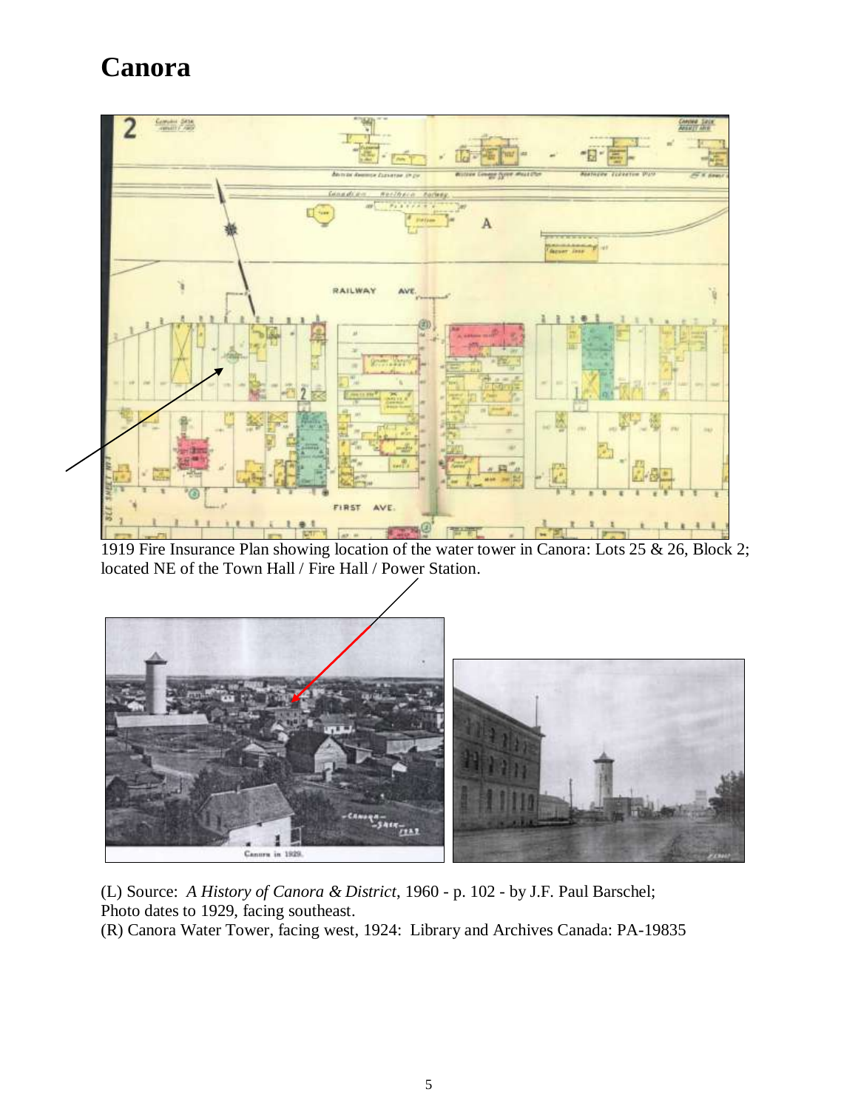# **Canora**



1919 Fire Insurance Plan showing location of the water tower in Canora: Lots 25 & 26, Block 2; located NE of the Town Hall / Fire Hall / Power Station.



(L) Source: *A History of Canora & District*, 1960 - p. 102 - by J.F. Paul Barschel; Photo dates to 1929, facing southeast.

(R) Canora Water Tower, facing west, 1924: Library and Archives Canada: PA-19835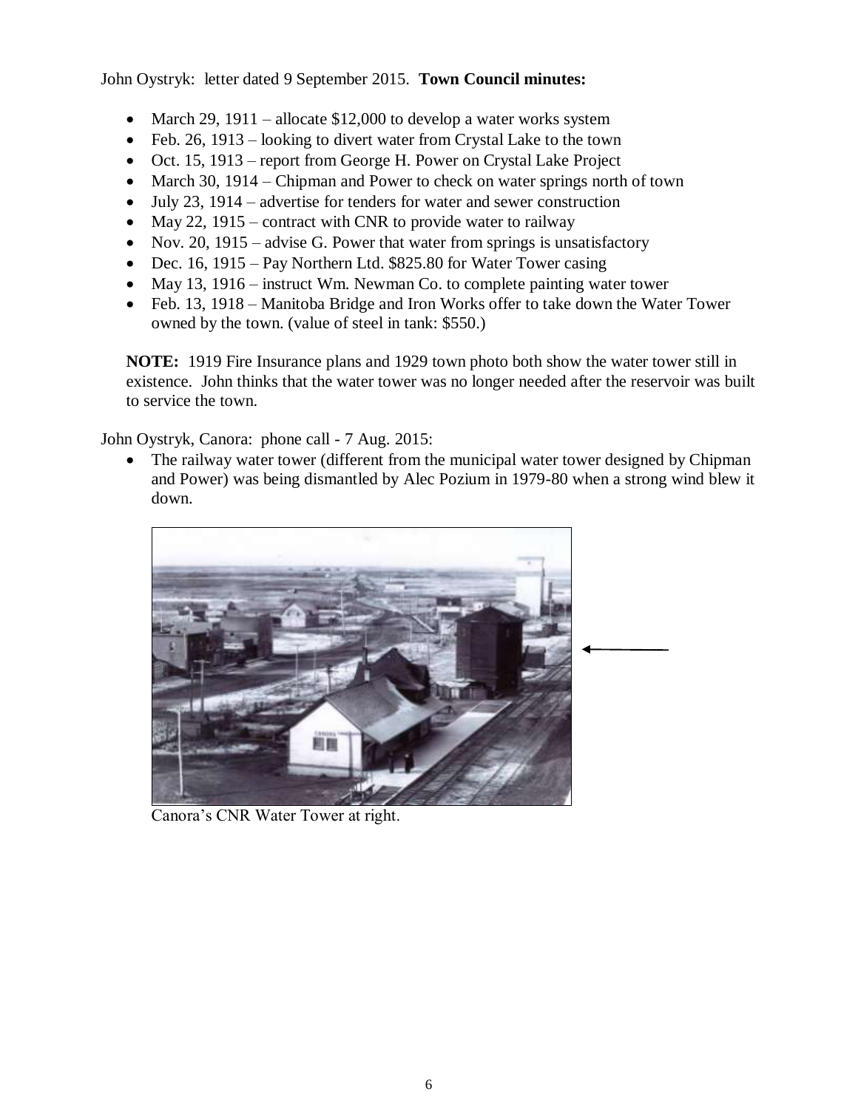John Oystryk: letter dated 9 September 2015. **Town Council minutes:**

- March 29, 1911 allocate \$12,000 to develop a water works system
- $\bullet$  Feb. 26, 1913 looking to divert water from Crystal Lake to the town
- Oct. 15, 1913 report from George H. Power on Crystal Lake Project
- March 30, 1914 Chipman and Power to check on water springs north of town
- $\bullet$  July 23, 1914 advertise for tenders for water and sewer construction
- May 22, 1915 contract with CNR to provide water to railway
- Nov. 20, 1915 advise G. Power that water from springs is unsatisfactory
- Dec. 16, 1915 Pay Northern Ltd. \$825.80 for Water Tower casing
- May 13, 1916 instruct Wm. Newman Co. to complete painting water tower
- Feb. 13, 1918 Manitoba Bridge and Iron Works offer to take down the Water Tower owned by the town. (value of steel in tank: \$550.)

**NOTE:** 1919 Fire Insurance plans and 1929 town photo both show the water tower still in existence. John thinks that the water tower was no longer needed after the reservoir was built to service the town.

John Oystryk, Canora: phone call - 7 Aug. 2015:

• The railway water tower (different from the municipal water tower designed by Chipman and Power) was being dismantled by Alec Pozium in 1979-80 when a strong wind blew it down.



Canora's CNR Water Tower at right.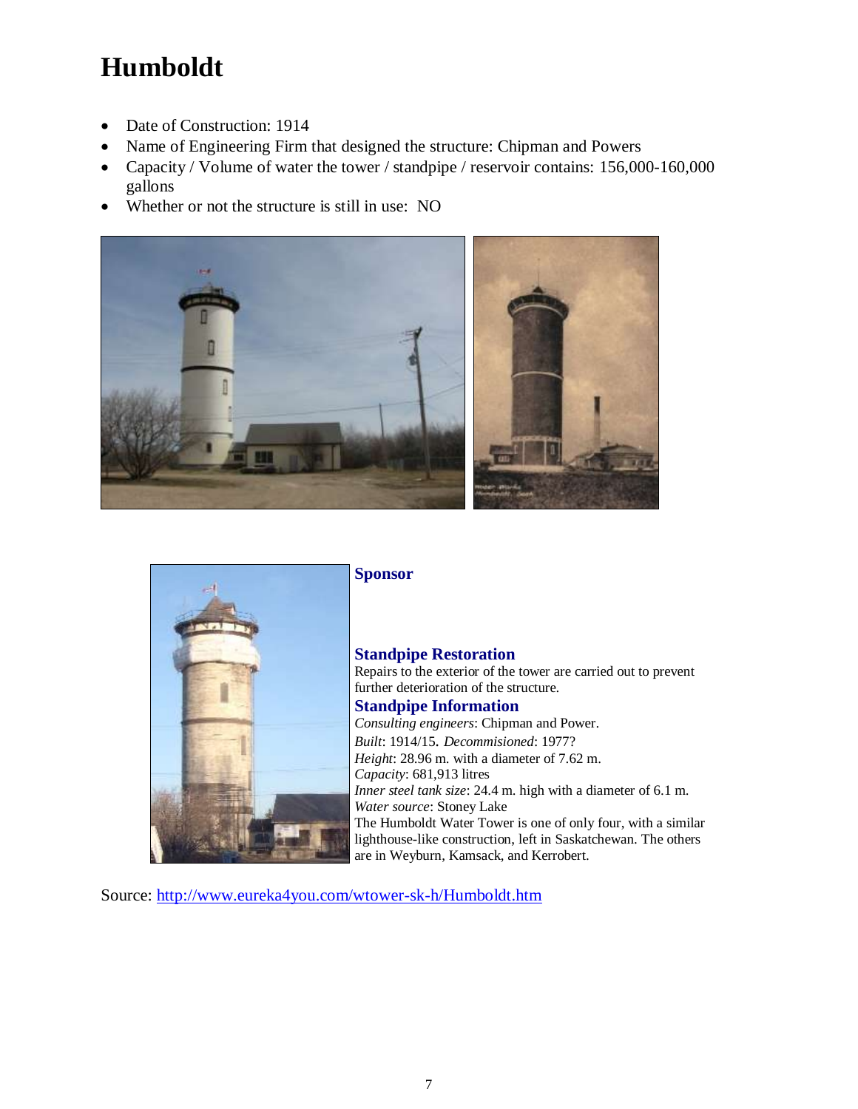# **Humboldt**

- Date of Construction: 1914
- Name of Engineering Firm that designed the structure: Chipman and Powers
- Capacity / Volume of water the tower / standpipe / reservoir contains: 156,000-160,000 gallons
- Whether or not the structure is still in use: NO





**Sponsor** 

#### **Standpipe Restoration**

Repairs to the exterior of the tower are carried out to prevent further deterioration of the structure.

#### **Standpipe Information**

*Consulting engineers*: Chipman and Power. *Built*: 1914/15. *Decommisioned*: 1977? *Height*: 28.96 m. with a diameter of 7.62 m. *Capacity*: 681,913 litres *Inner steel tank size*: 24.4 m. high with a diameter of 6.1 m. *Water source*: Stoney Lake The Humboldt Water Tower is one of only four, with a similar lighthouse-like construction, left in Saskatchewan. The others are in Weyburn, Kamsack, and Kerrobert.

Source:<http://www.eureka4you.com/wtower-sk-h/Humboldt.htm>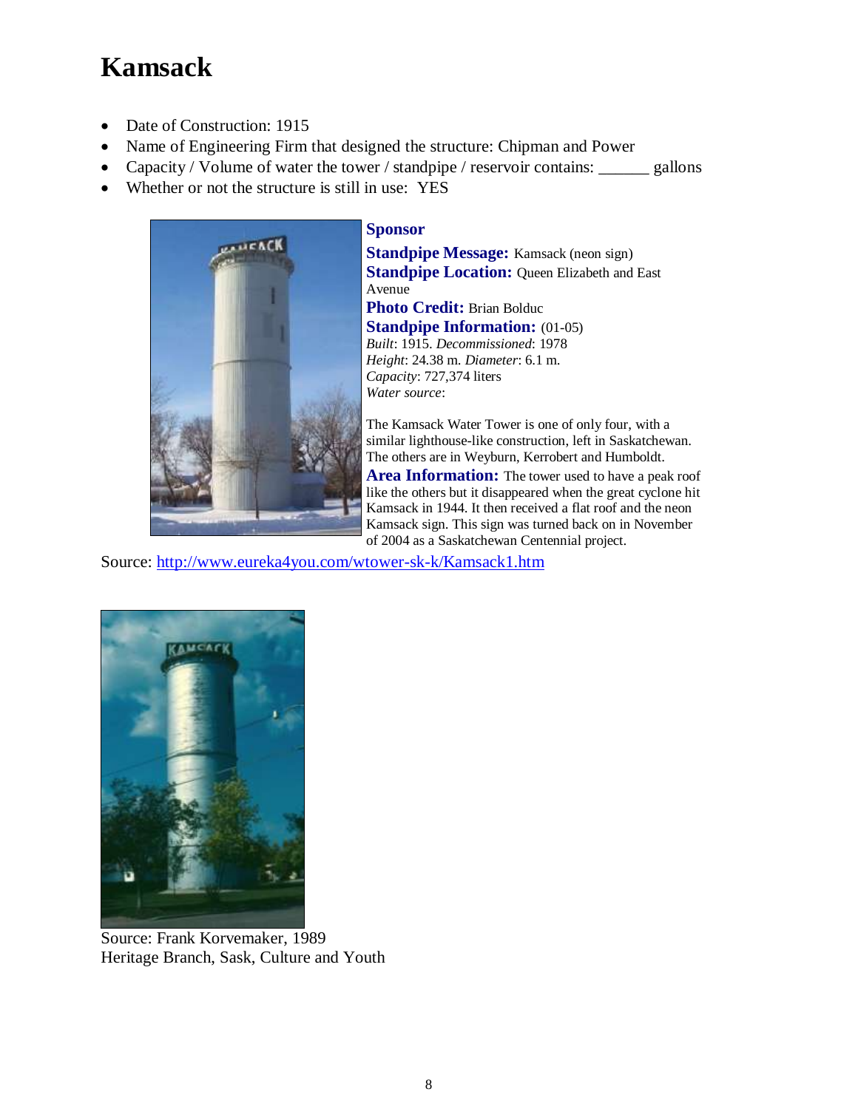# **Kamsack**

- Date of Construction: 1915
- Name of Engineering Firm that designed the structure: Chipman and Power
- Capacity / Volume of water the tower / standpipe / reservoir contains: \_\_\_\_\_\_ gallons
- Whether or not the structure is still in use: YES



#### **Sponsor**

**Standpipe Message:** Kamsack (neon sign) **Standpipe Location: Oueen Elizabeth and East** Avenue **Photo Credit:** Brian Bolduc **Standpipe Information: (01-05)** *Built*: 1915. *Decommissioned*: 1978 *Height*: 24.38 m. *Diameter*: 6.1 m. *Capacity*: 727,374 liters *Water source*:

The Kamsack Water Tower is one of only four, with a similar lighthouse-like construction, left in Saskatchewan. The others are in Weyburn, Kerrobert and Humboldt.

**Area Information:** The tower used to have a peak roof like the others but it disappeared when the great cyclone hit Kamsack in 1944. It then received a flat roof and the neon Kamsack sign. This sign was turned back on in November of 2004 as a Saskatchewan Centennial project.

Source:<http://www.eureka4you.com/wtower-sk-k/Kamsack1.htm>



Source: Frank Korvemaker, 1989 Heritage Branch, Sask, Culture and Youth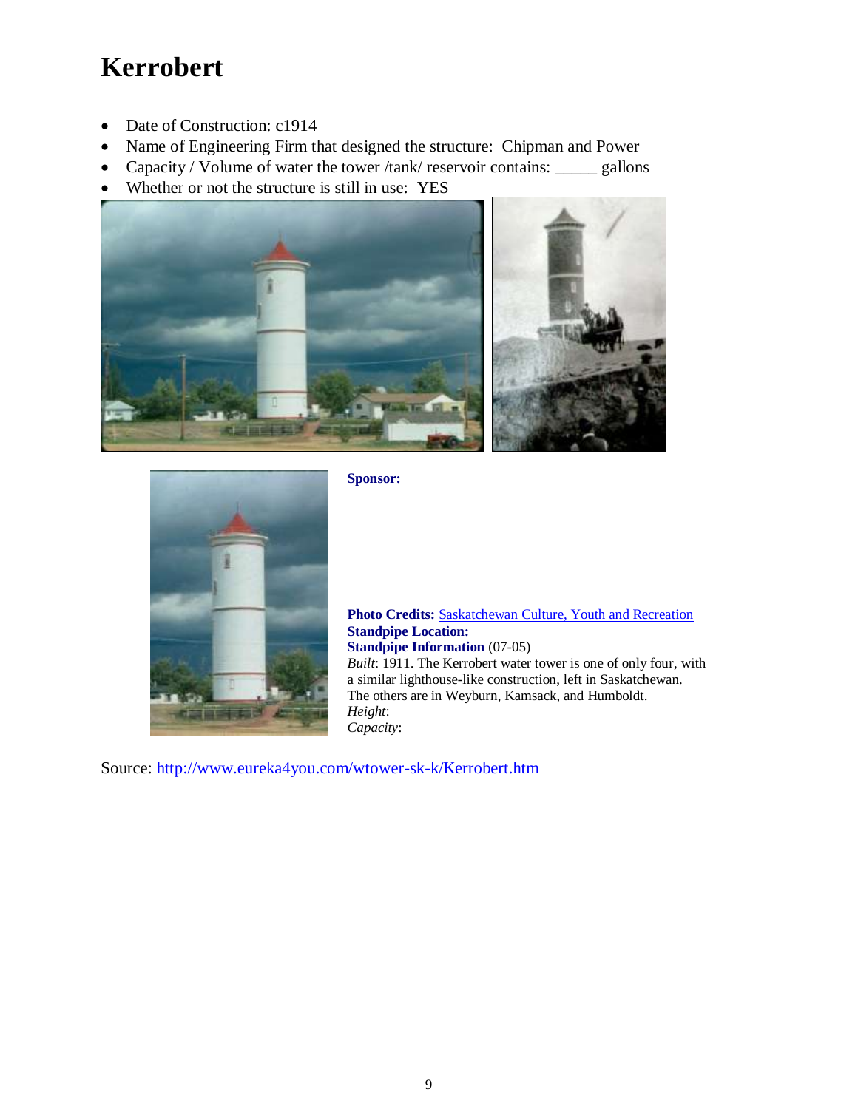## **Kerrobert**

- Date of Construction: c1914
- Name of Engineering Firm that designed the structure: Chipman and Power
- Capacity / Volume of water the tower /tank/ reservoir contains: \_\_\_\_\_\_ gallons
- Whether or not the structure is still in use: YES





**Sponsor:**

**Photo Credits:** [Saskatchewan Culture, Youth and Recreation](http://www.cyr.gov.sk.ca/) **Standpipe Location: Standpipe Information** (07-05) *Built*: 1911. The Kerrobert water tower is one of only four, with a similar lighthouse-like construction, left in Saskatchewan. The others are in Weyburn, Kamsack, and Humboldt. *Height*: *Capacity*:

Source:<http://www.eureka4you.com/wtower-sk-k/Kerrobert.htm>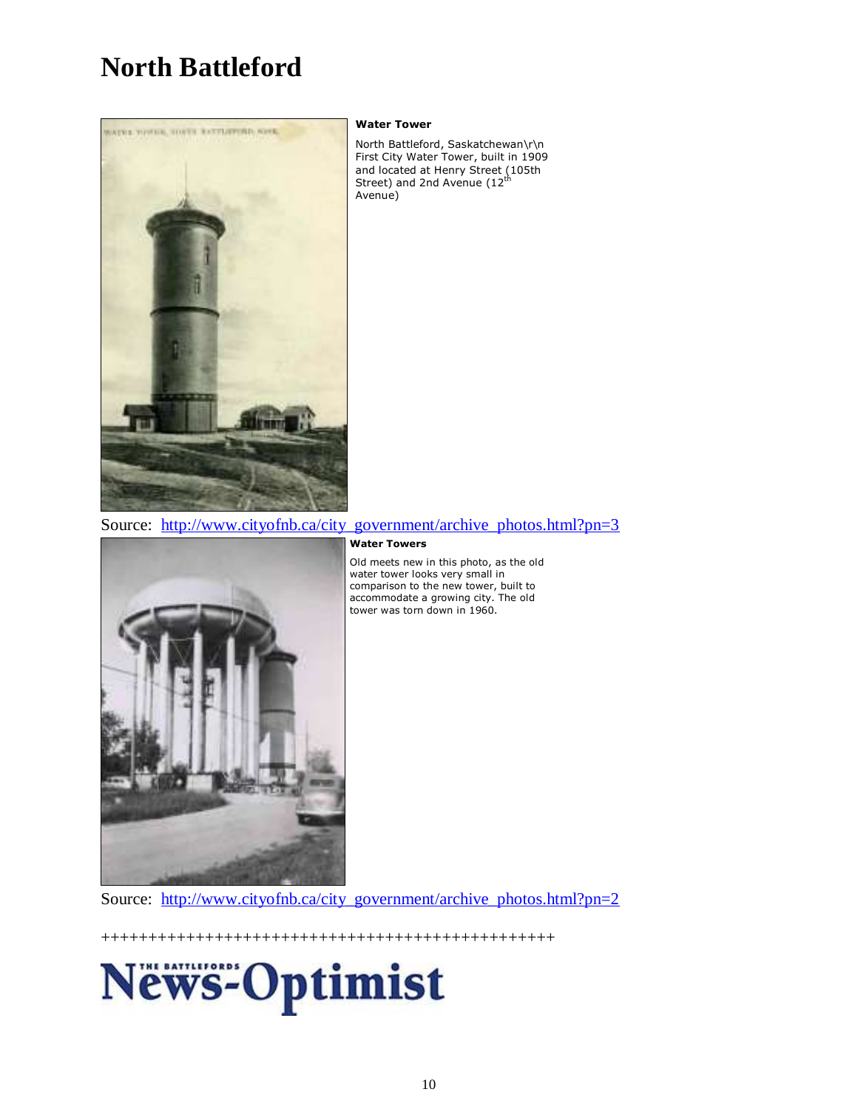## **North Battleford**



#### **Water Tower**

North Battleford, Saskatchewan\r\n First City Water Tower, built in 1909 and located at Henry Street (105th<br>Street) and 2nd Avenue (12<sup>th</sup> Avenue)



**Water Towers**

Old meets new in this photo, as the old water tower looks very small in comparison to the new tower, built to accommodate a growing city. The old tower was torn down in 1960.

Source: [http://www.cityofnb.ca/city\\_government/archive\\_photos.html?pn=2](http://www.cityofnb.ca/city_government/archive_photos.html?pn=2)

++++++++++++++++++++++++++++++++++++++++++++++++

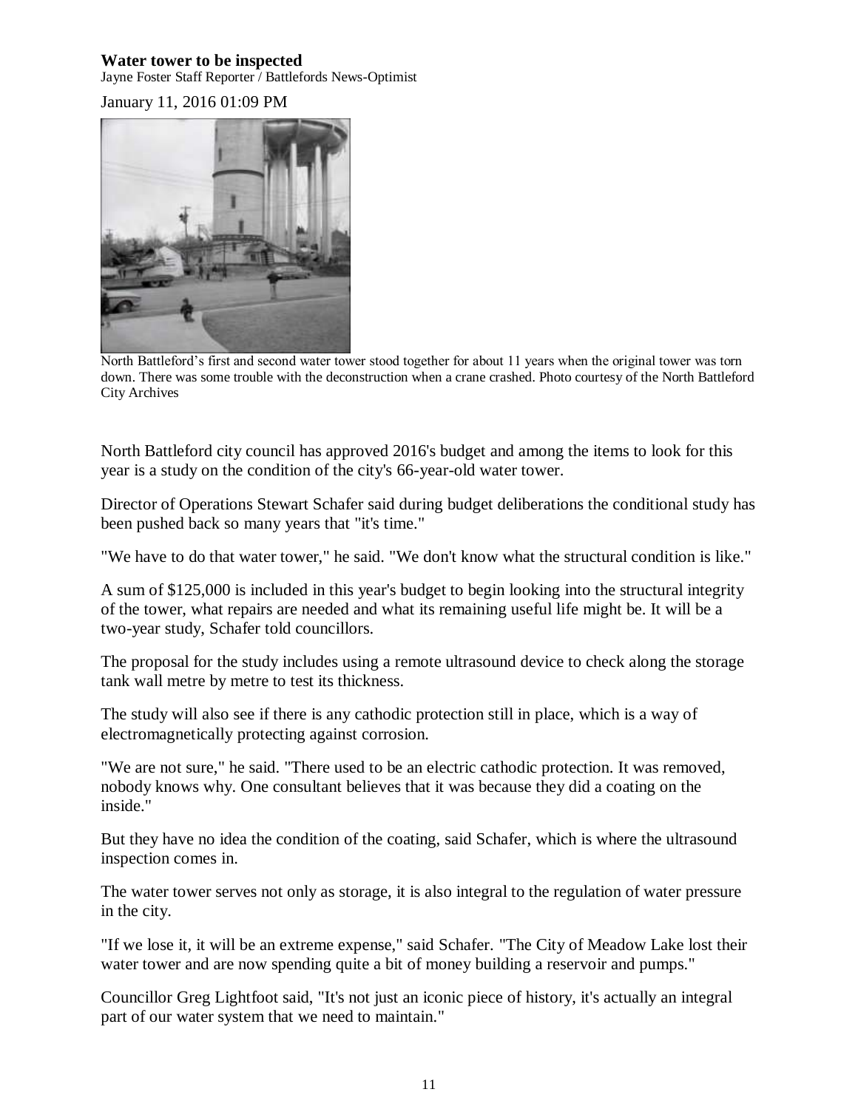#### **Water tower to be inspected**

Jayne Foster Staff Reporter / Battlefords News-Optimist

January 11, 2016 01:09 PM



North Battleford's first and second water tower stood together for about 11 years when the original tower was torn down. There was some trouble with the deconstruction when a crane crashed. Photo courtesy of the North Battleford City Archives

North Battleford city council has approved 2016's budget and among the items to look for this year is a study on the condition of the city's 66-year-old water tower.

Director of Operations Stewart Schafer said during budget deliberations the conditional study has been pushed back so many years that "it's time."

"We have to do that water tower," he said. "We don't know what the structural condition is like."

A sum of \$125,000 is included in this year's budget to begin looking into the structural integrity of the tower, what repairs are needed and what its remaining useful life might be. It will be a two-year study, Schafer told councillors.

The proposal for the study includes using a remote ultrasound device to check along the storage tank wall metre by metre to test its thickness.

The study will also see if there is any cathodic protection still in place, which is a way of electromagnetically protecting against corrosion.

"We are not sure," he said. "There used to be an electric cathodic protection. It was removed, nobody knows why. One consultant believes that it was because they did a coating on the inside."

But they have no idea the condition of the coating, said Schafer, which is where the ultrasound inspection comes in.

The water tower serves not only as storage, it is also integral to the regulation of water pressure in the city.

"If we lose it, it will be an extreme expense," said Schafer. "The City of Meadow Lake lost their water tower and are now spending quite a bit of money building a reservoir and pumps."

Councillor Greg Lightfoot said, "It's not just an iconic piece of history, it's actually an integral part of our water system that we need to maintain."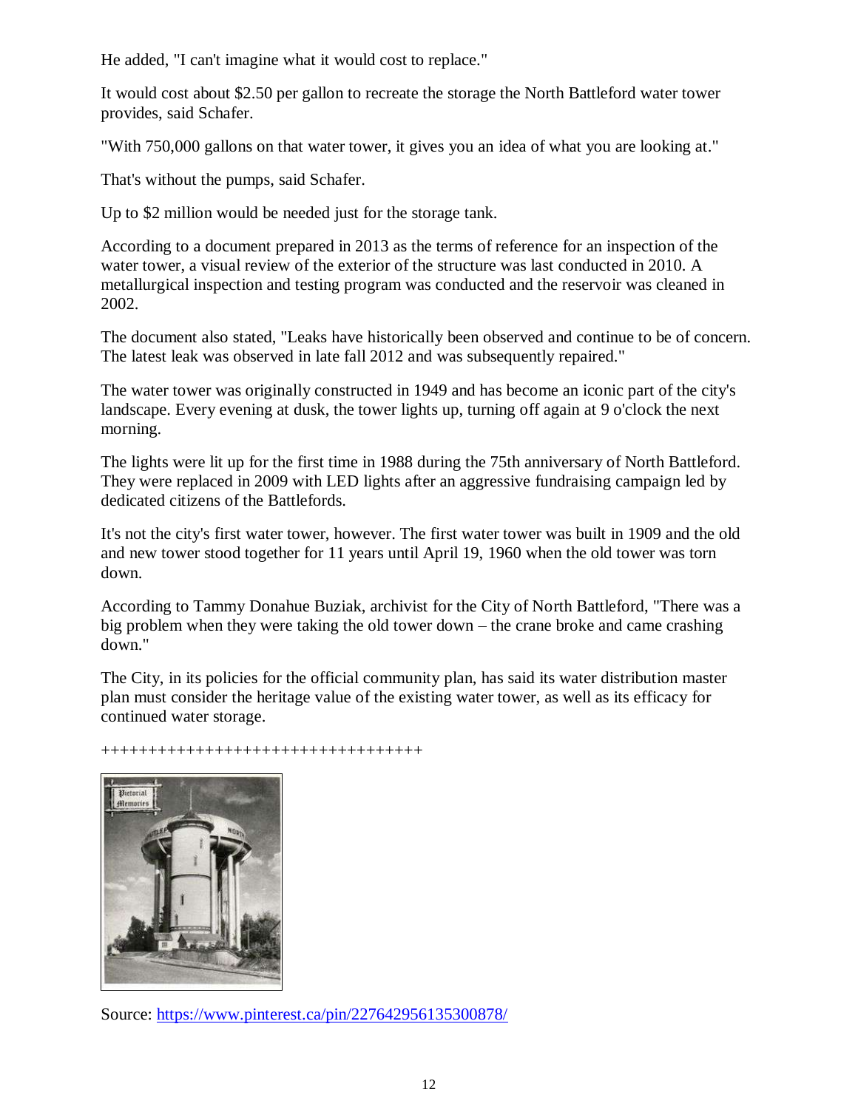He added, "I can't imagine what it would cost to replace."

It would cost about \$2.50 per gallon to recreate the storage the North Battleford water tower provides, said Schafer.

"With 750,000 gallons on that water tower, it gives you an idea of what you are looking at."

That's without the pumps, said Schafer.

Up to \$2 million would be needed just for the storage tank.

According to a document prepared in 2013 as the terms of reference for an inspection of the water tower, a visual review of the exterior of the structure was last conducted in 2010. A metallurgical inspection and testing program was conducted and the reservoir was cleaned in 2002.

The document also stated, "Leaks have historically been observed and continue to be of concern. The latest leak was observed in late fall 2012 and was subsequently repaired."

The water tower was originally constructed in 1949 and has become an iconic part of the city's landscape. Every evening at dusk, the tower lights up, turning off again at 9 o'clock the next morning.

The lights were lit up for the first time in 1988 during the 75th anniversary of North Battleford. They were replaced in 2009 with LED lights after an aggressive fundraising campaign led by dedicated citizens of the Battlefords.

It's not the city's first water tower, however. The first water tower was built in 1909 and the old and new tower stood together for 11 years until April 19, 1960 when the old tower was torn down.

According to Tammy Donahue Buziak, archivist for the City of North Battleford, "There was a big problem when they were taking the old tower down – the crane broke and came crashing down."

The City, in its policies for the official community plan, has said its water distribution master plan must consider the heritage value of the existing water tower, as well as its efficacy for continued water storage.

++++++++++++++++++++++++++++++++++



Source:<https://www.pinterest.ca/pin/227642956135300878/>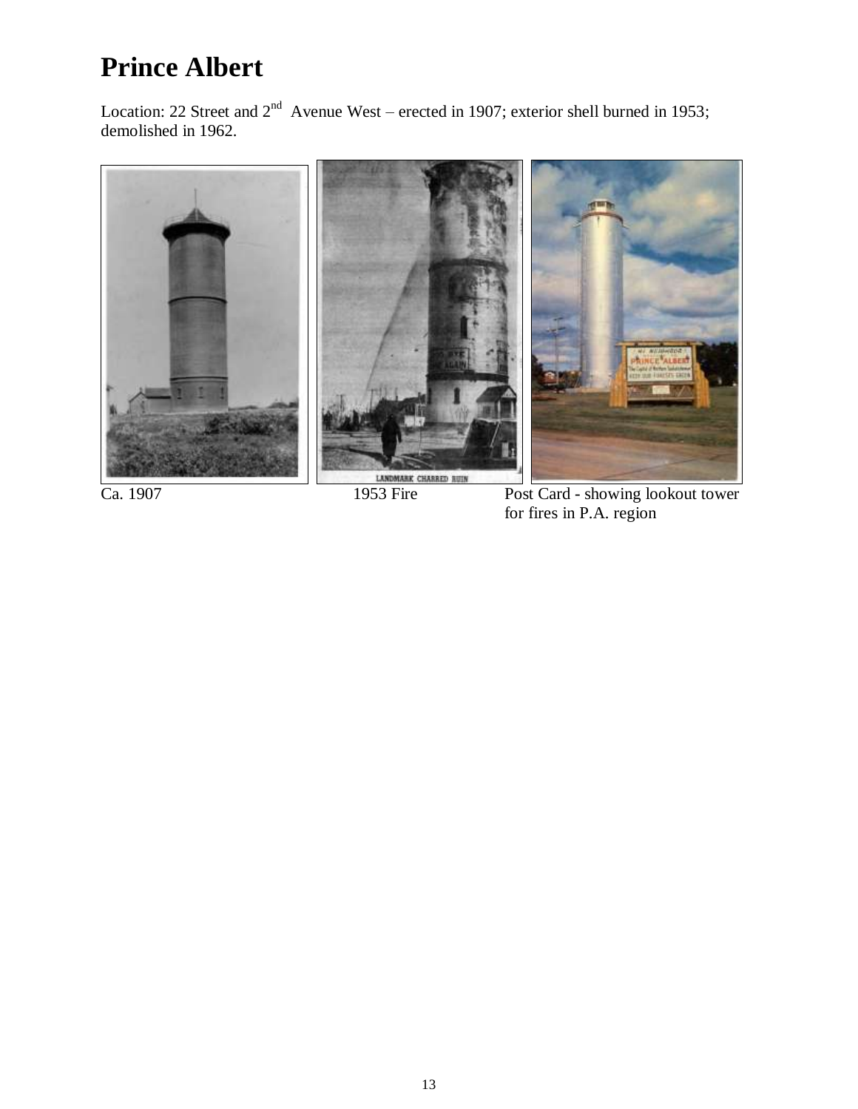# **Prince Albert**

Location: 22 Street and  $2<sup>nd</sup>$  Avenue West – erected in 1907; exterior shell burned in 1953; demolished in 1962.



Ca. 1907 1953 Fire Post Card - showing lookout tower for fires in P.A. region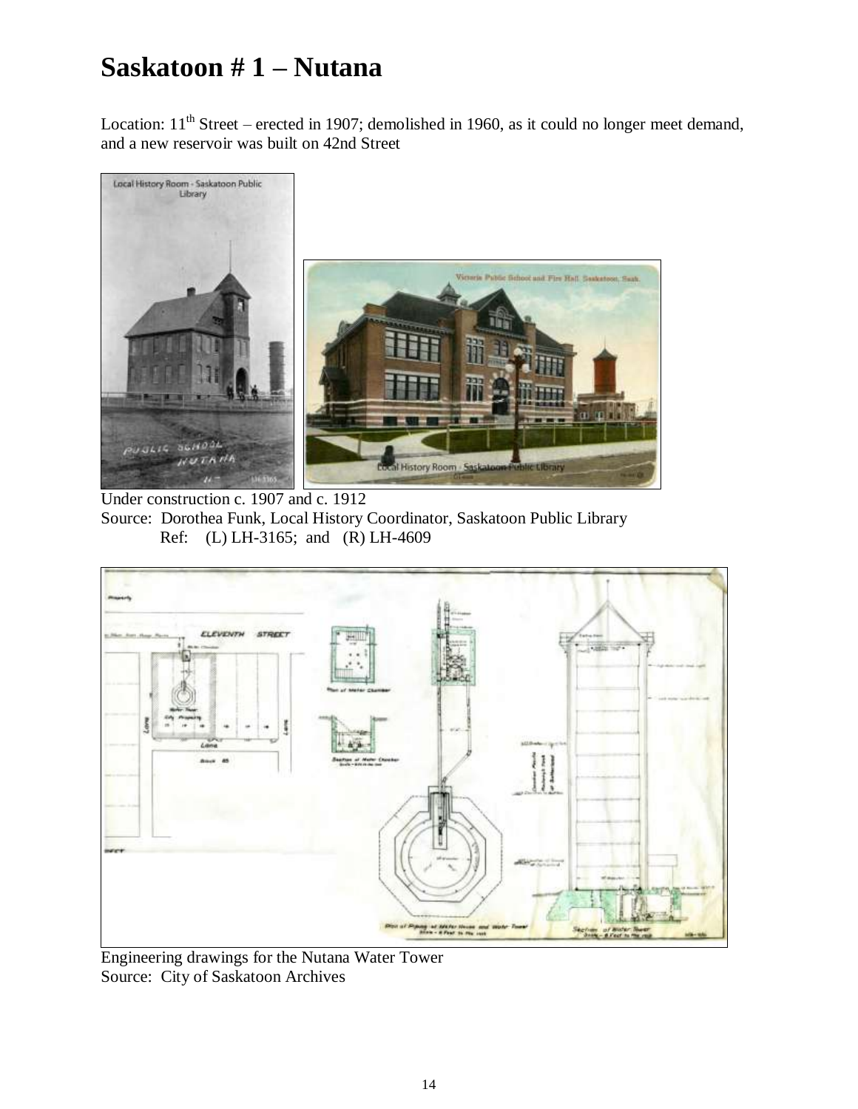## **Saskatoon # 1 – Nutana**

Location:  $11<sup>th</sup> Street – erected in 1907; demolished in 1960, as it could no longer meet demand,$ and a new reservoir was built on 42nd Street



Under construction c. 1907 and c. 1912 Source: Dorothea Funk, Local History Coordinator, Saskatoon Public Library Ref: (L) LH-3165; and (R) LH-4609



Engineering drawings for the Nutana Water Tower Source: City of Saskatoon Archives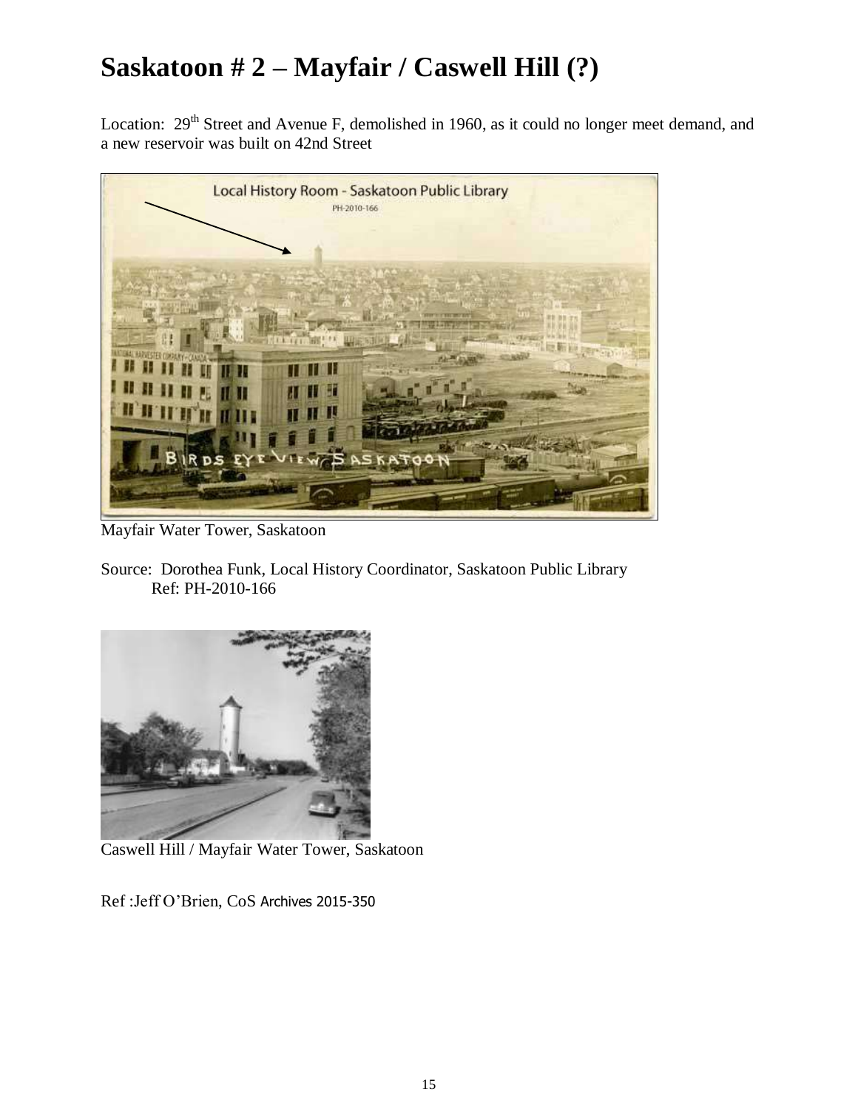# **Saskatoon # 2 – Mayfair / Caswell Hill (?)**

Location: 29<sup>th</sup> Street and Avenue F, demolished in 1960, as it could no longer meet demand, and a new reservoir was built on 42nd Street



Mayfair Water Tower, Saskatoon

Source: Dorothea Funk, Local History Coordinator, Saskatoon Public Library Ref: PH-2010-166



Caswell Hill / Mayfair Water Tower, Saskatoon

Ref :Jeff O'Brien, CoS Archives 2015-350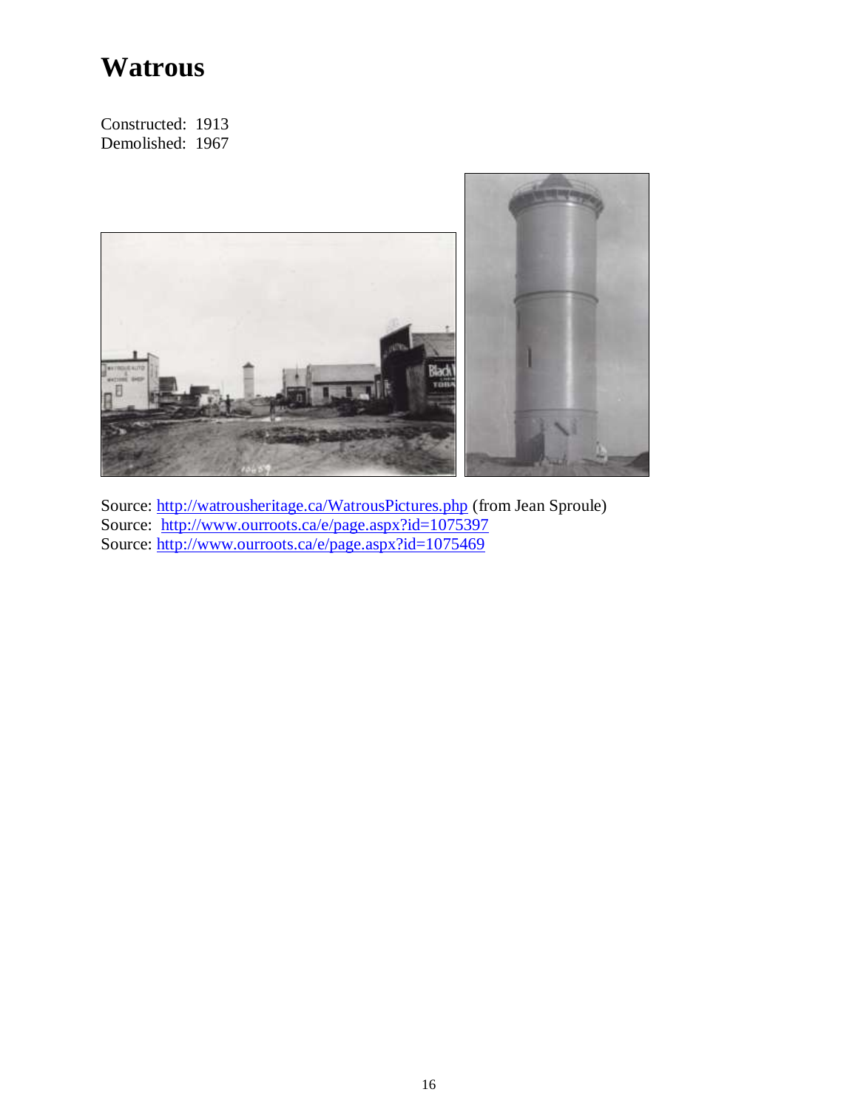## **Watrous**

Constructed: 1913 Demolished: 1967



Source:<http://watrousheritage.ca/WatrousPictures.php> (from Jean Sproule) Source: <http://www.ourroots.ca/e/page.aspx?id=1075397> Source:<http://www.ourroots.ca/e/page.aspx?id=1075469>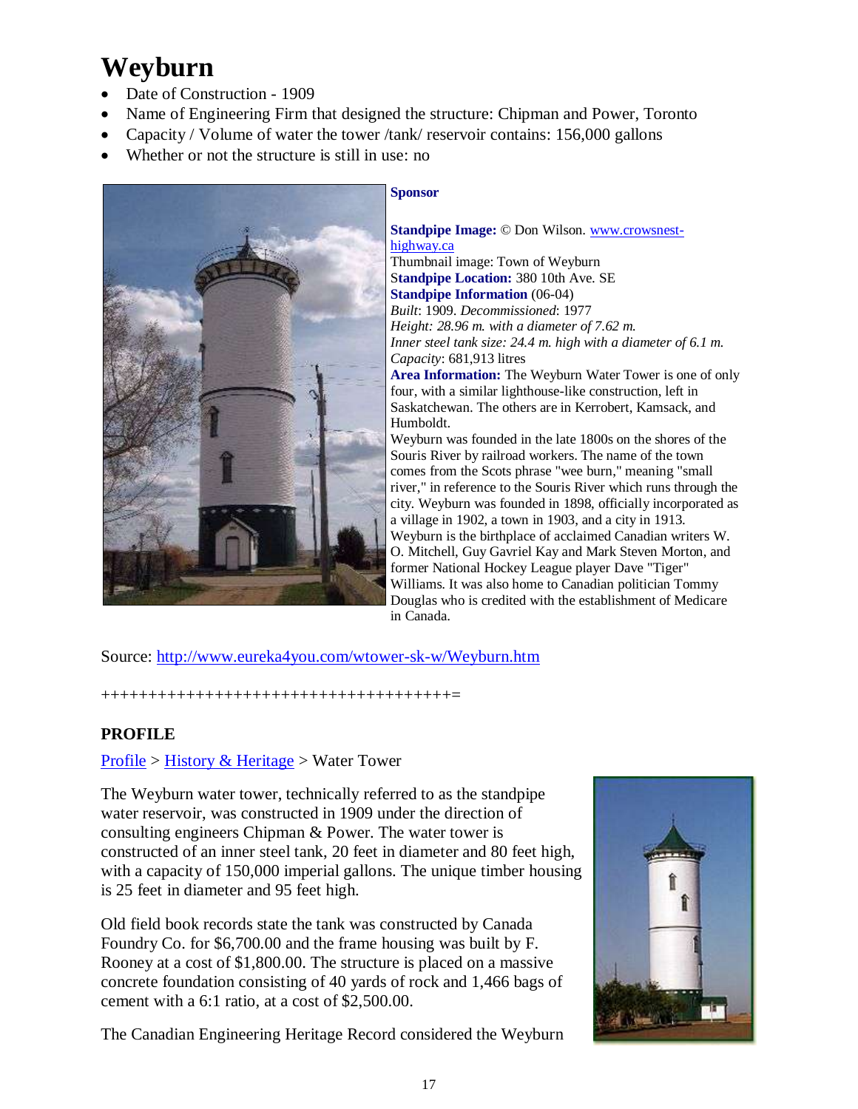# **Weyburn**

- Date of Construction 1909
- Name of Engineering Firm that designed the structure: Chipman and Power, Toronto
- Capacity / Volume of water the tower /tank/ reservoir contains: 156,000 gallons
- Whether or not the structure is still in use: no



#### **Sponsor**

**Standpipe Image:** © Don Wilson[. www.crowsnest](http://www.crowsnest-highway.ca/)[highway.ca](http://www.crowsnest-highway.ca/) 

Thumbnail image: Town of Weyburn S**tandpipe Location:** 380 10th Ave. SE **Standpipe Information** (06-04) *Built*: 1909. *Decommissioned*: 1977 *Height: 28.96 m. with a diameter of 7.62 m. Inner steel tank size: 24.4 m. high with a diameter of 6.1 m. Capacity*: 681,913 litres

**Area Information:** The Weyburn Water Tower is one of only four, with a similar lighthouse-like construction, left in Saskatchewan. The others are in Kerrobert, Kamsack, and Humboldt.

Weyburn was founded in the late 1800s on the shores of the Souris River by railroad workers. The name of the town comes from the Scots phrase "wee burn," meaning "small river," in reference to the Souris River which runs through the city. Weyburn was founded in 1898, officially incorporated as a village in 1902, a town in 1903, and a city in 1913. Weyburn is the birthplace of acclaimed Canadian writers W. O. Mitchell, Guy Gavriel Kay and Mark Steven Morton, and former National Hockey League player Dave "Tiger" Williams. It was also home to Canadian politician Tommy Douglas who is credited with the establishment of Medicare in Canada.

Source:<http://www.eureka4you.com/wtower-sk-w/Weyburn.htm>

+++++++++++++++++++++++++++++++++++++=

#### **PROFILE**

#### [Profile](http://www.weyburn.ca/modules.php?name=Sections&op=viewarticle&artid=4) > [History & Heritage](http://www.weyburn.ca/modules.php?name=Sections&op=viewarticle&artid=44) > Water Tower

The Weyburn water tower, technically referred to as the standpipe water reservoir, was constructed in 1909 under the direction of consulting engineers Chipman & Power. The water tower is constructed of an inner steel tank, 20 feet in diameter and 80 feet high, with a capacity of 150,000 imperial gallons. The unique timber housing is 25 feet in diameter and 95 feet high.

Old field book records state the tank was constructed by Canada Foundry Co. for \$6,700.00 and the frame housing was built by F. Rooney at a cost of \$1,800.00. The structure is placed on a massive concrete foundation consisting of 40 yards of rock and 1,466 bags of cement with a 6:1 ratio, at a cost of \$2,500.00.

The Canadian Engineering Heritage Record considered the Weyburn